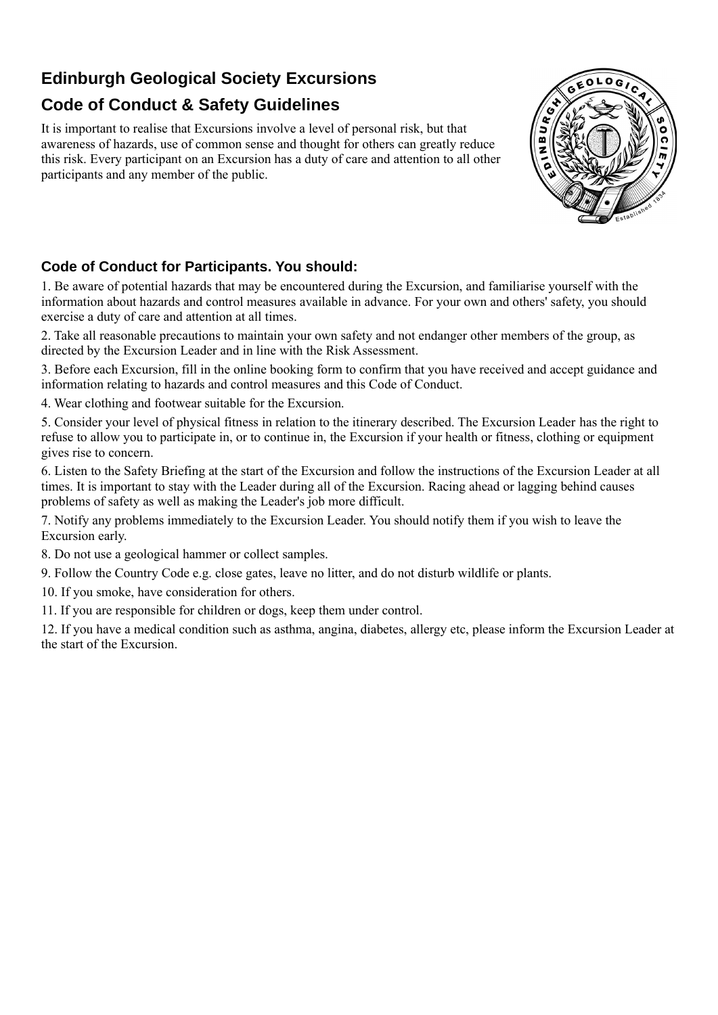## **Edinburgh Geological Society Excursions**

# **Code of Conduct & Safety Guidelines**

It is important to realise that Excursions involve a level of personal risk, but that awareness of hazards, use of common sense and thought for others can greatly reduce this risk. Every participant on an Excursion has a duty of care and attention to all other participants and any member of the public.



### **Code of Conduct for Participants. You should:**

1. Be aware of potential hazards that may be encountered during the Excursion, and familiarise yourself with the information about hazards and control measures available in advance. For your own and others' safety, you should exercise a duty of care and attention at all times.

2. Take all reasonable precautions to maintain your own safety and not endanger other members of the group, as directed by the Excursion Leader and in line with the Risk Assessment.

3. Before each Excursion, fill in the online booking form to confirm that you have received and accept guidance and information relating to hazards and control measures and this Code of Conduct.

4. Wear clothing and footwear suitable for the Excursion.

5. Consider your level of physical fitness in relation to the itinerary described. The Excursion Leader has the right to refuse to allow you to participate in, or to continue in, the Excursion if your health or fitness, clothing or equipment gives rise to concern.

6. Listen to the Safety Briefing at the start of the Excursion and follow the instructions of the Excursion Leader at all times. It is important to stay with the Leader during all of the Excursion. Racing ahead or lagging behind causes problems of safety as well as making the Leader's job more difficult.

7. Notify any problems immediately to the Excursion Leader. You should notify them if you wish to leave the Excursion early.

8. Do not use a geological hammer or collect samples.

9. Follow the Country Code e.g. close gates, leave no litter, and do not disturb wildlife or plants.

10. If you smoke, have consideration for others.

11. If you are responsible for children or dogs, keep them under control.

12. If you have a medical condition such as asthma, angina, diabetes, allergy etc, please inform the Excursion Leader at the start of the Excursion.